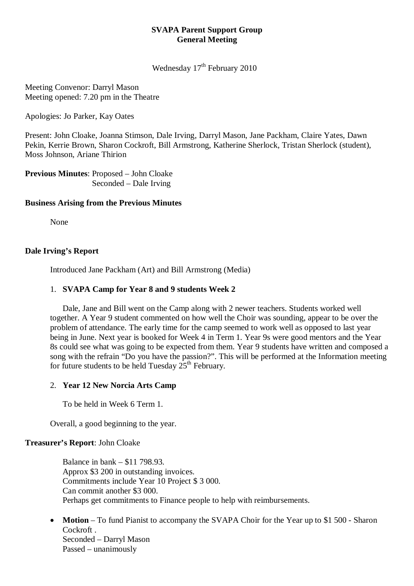## **SVAPA Parent Support Group General Meeting**

Wednesday 17<sup>th</sup> February 2010

Meeting Convenor: Darryl Mason Meeting opened: 7.20 pm in the Theatre

Apologies: Jo Parker, Kay Oates

Present: John Cloake, Joanna Stimson, Dale Irving, Darryl Mason, Jane Packham, Claire Yates, Dawn Pekin, Kerrie Brown, Sharon Cockroft, Bill Armstrong, Katherine Sherlock, Tristan Sherlock (student), Moss Johnson, Ariane Thirion

**Previous Minutes**: Proposed – John Cloake Seconded – Dale Irving

## **Business Arising from the Previous Minutes**

None

## **Dale Irving's Report**

Introduced Jane Packham (Art) and Bill Armstrong (Media)

## 1. **SVAPA Camp for Year 8 and 9 students Week 2**

Dale, Jane and Bill went on the Camp along with 2 newer teachers. Students worked well together. A Year 9 student commented on how well the Choir was sounding, appear to be over the problem of attendance. The early time for the camp seemed to work well as opposed to last year being in June. Next year is booked for Week 4 in Term 1. Year 9s were good mentors and the Year 8s could see what was going to be expected from them. Year 9 students have written and composed a song with the refrain "Do you have the passion?". This will be performed at the Information meeting for future students to be held Tuesday  $25<sup>th</sup>$  February.

# 2. **Year 12 New Norcia Arts Camp**

To be held in Week 6 Term 1.

Overall, a good beginning to the year.

#### **Treasurer's Report**: John Cloake

Balance in bank – \$11 798.93. Approx \$3 200 in outstanding invoices. Commitments include Year 10 Project \$ 3 000. Can commit another \$3 000. Perhaps get commitments to Finance people to help with reimbursements.

• **Motion** – To fund Pianist to accompany the SVAPA Choir for the Year up to \$1 500 - Sharon Cockroft. Seconded – Darryl Mason Passed – unanimously